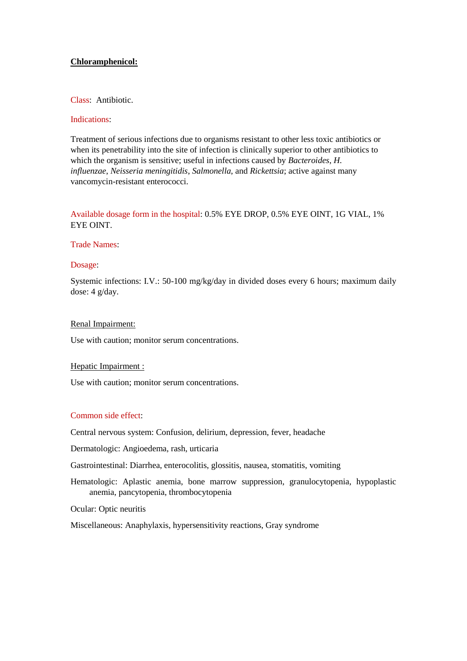## **Chloramphenicol:**

## Class: Antibiotic.

#### Indications:

Treatment of serious infections due to organisms resistant to other less toxic antibiotics or when its penetrability into the site of infection is clinically superior to other antibiotics to which the organism is sensitive; useful in infections caused by *Bacteroides*, *H. influenzae*, *Neisseria meningitidis*, *Salmonella*, and *Rickettsia*; active against many vancomycin-resistant enterococci.

# Available dosage form in the hospital: 0.5% EYE DROP, 0.5% EYE OINT, 1G VIAL, 1% EYE OINT.

#### Trade Names:

#### Dosage:

Systemic infections: I.V.: 50-100 mg/kg/day in divided doses every 6 hours; maximum daily dose: 4 g/day.

#### Renal Impairment:

Use with caution; monitor serum concentrations.

#### Hepatic Impairment :

Use with caution; monitor serum concentrations.

## Common side effect:

Central nervous system: Confusion, delirium, depression, fever, headache

Dermatologic: Angioedema, rash, urticaria

Gastrointestinal: Diarrhea, enterocolitis, glossitis, nausea, stomatitis, vomiting

Hematologic: Aplastic anemia, bone marrow suppression, granulocytopenia, hypoplastic anemia, pancytopenia, thrombocytopenia

Ocular: Optic neuritis

Miscellaneous: Anaphylaxis, hypersensitivity reactions, Gray syndrome